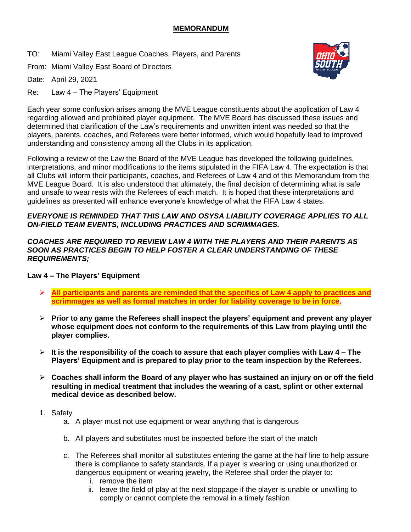## **MEMORANDUM**

TO: Miami Valley East League Coaches, Players, and Parents

From: Miami Valley East Board of Directors

Date: April 29, 2021

Re: Law 4 – The Players' Equipment



Each year some confusion arises among the MVE League constituents about the application of Law 4 regarding allowed and prohibited player equipment. The MVE Board has discussed these issues and determined that clarification of the Law's requirements and unwritten intent was needed so that the players, parents, coaches, and Referees were better informed, which would hopefully lead to improved understanding and consistency among all the Clubs in its application.

Following a review of the Law the Board of the MVE League has developed the following guidelines, interpretations, and minor modifications to the items stipulated in the FIFA Law 4. The expectation is that all Clubs will inform their participants, coaches, and Referees of Law 4 and of this Memorandum from the MVE League Board. It is also understood that ultimately, the final decision of determining what is safe and unsafe to wear rests with the Referees of each match. It is hoped that these interpretations and guidelines as presented will enhance everyone's knowledge of what the FIFA Law 4 states.

#### *EVERYONE IS REMINDED THAT THIS LAW AND OSYSA LIABILITY COVERAGE APPLIES TO ALL ON-FIELD TEAM EVENTS, INCLUDING PRACTICES AND SCRIMMAGES.*

#### *COACHES ARE REQUIRED TO REVIEW LAW 4 WITH THE PLAYERS AND THEIR PARENTS AS SOON AS PRACTICES BEGIN TO HELP FOSTER A CLEAR UNDERSTANDING OF THESE REQUIREMENTS;*

# **Law 4 – The Players' Equipment**

- ➢ **All participants and parents are reminded that the specifics of Law 4 apply to practices and scrimmages as well as formal matches in order for liability coverage to be in force.**
- ➢ **Prior to any game the Referees shall inspect the players' equipment and prevent any player whose equipment does not conform to the requirements of this Law from playing until the player complies.**
- ➢ **It is the responsibility of the coach to assure that each player complies with Law 4 – The Players' Equipment and is prepared to play prior to the team inspection by the Referees.**
- ➢ **Coaches shall inform the Board of any player who has sustained an injury on or off the field resulting in medical treatment that includes the wearing of a cast, splint or other external medical device as described below.**
- 1. Safety
	- a. A player must not use equipment or wear anything that is dangerous
	- b. All players and substitutes must be inspected before the start of the match
	- c. The Referees shall monitor all substitutes entering the game at the half line to help assure there is compliance to safety standards. If a player is wearing or using unauthorized or dangerous equipment or wearing jewelry, the Referee shall order the player to:
		- i. remove the item
		- ii. leave the field of play at the next stoppage if the player is unable or unwilling to comply or cannot complete the removal in a timely fashion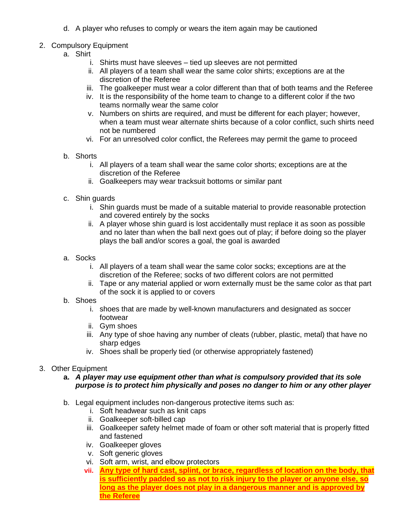d. A player who refuses to comply or wears the item again may be cautioned

## 2. Compulsory Equipment

- a. Shirt
	- i. Shirts must have sleeves tied up sleeves are not permitted
	- ii. All players of a team shall wear the same color shirts; exceptions are at the discretion of the Referee
	- iii. The goalkeeper must wear a color different than that of both teams and the Referee
	- iv. It is the responsibility of the home team to change to a different color if the two teams normally wear the same color
	- v. Numbers on shirts are required, and must be different for each player; however, when a team must wear alternate shirts because of a color conflict, such shirts need not be numbered
	- vi. For an unresolved color conflict, the Referees may permit the game to proceed
- b. Shorts
	- i. All players of a team shall wear the same color shorts; exceptions are at the discretion of the Referee
	- ii. Goalkeepers may wear tracksuit bottoms or similar pant
- c. Shin guards
	- i. Shin guards must be made of a suitable material to provide reasonable protection and covered entirely by the socks
	- ii. A player whose shin guard is lost accidentally must replace it as soon as possible and no later than when the ball next goes out of play; if before doing so the player plays the ball and/or scores a goal, the goal is awarded
- a. Socks
	- i. All players of a team shall wear the same color socks; exceptions are at the discretion of the Referee; socks of two different colors are not permitted
	- ii. Tape or any material applied or worn externally must be the same color as that part of the sock it is applied to or covers
- b. Shoes
	- i. shoes that are made by well-known manufacturers and designated as soccer footwear
	- ii. Gym shoes
	- iii. Any type of shoe having any number of cleats (rubber, plastic, metal) that have no sharp edges
	- iv. Shoes shall be properly tied (or otherwise appropriately fastened)
- 3. Other Equipment
	- **a.** *A player may use equipment other than what is compulsory provided that its sole purpose is to protect him physically and poses no danger to him or any other player*
	- b. Legal equipment includes non-dangerous protective items such as:
		- i. Soft headwear such as knit caps
		- ii. Goalkeeper soft-billed cap
		- iii. Goalkeeper safety helmet made of foam or other soft material that is properly fitted and fastened
		- iv. Goalkeeper gloves
		- v. Soft generic gloves
		- vi. Soft arm, wrist, and elbow protectors
		- **vii. Any type of hard cast, splint, or brace, regardless of location on the body, that is sufficiently padded so as not to risk injury to the player or anyone else, so long as the player does not play in a dangerous manner and is approved by the Referee**